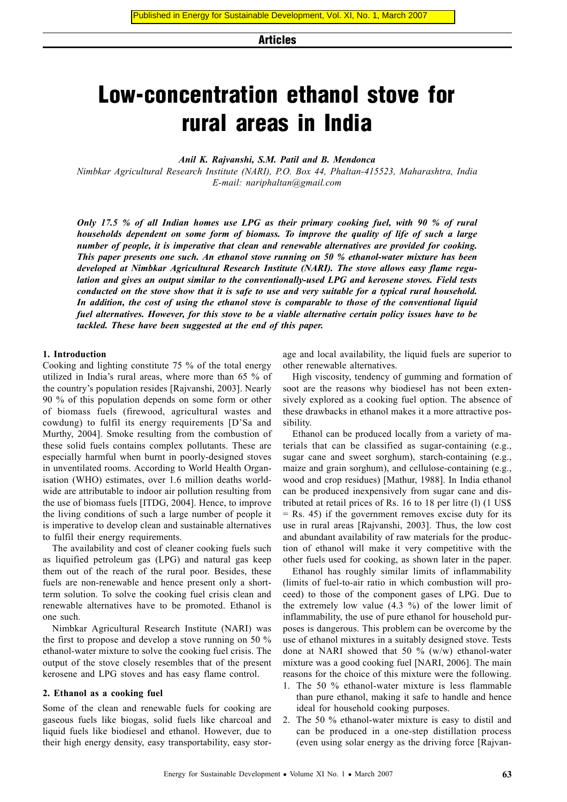Articles

# Low-concentration ethanol stove for rural areas in India

*[Anil K. Rajvanshi,](http://education.vsnl.com/nimbkar/biodata.html) S.M. Patil and B. Mendonca*

*[Nimbkar Agricultural Research Institute \(NARI\),](http://www.nariphaltan.org) P.O. Box 44, Phaltan-415523, Maharashtra, India E-mail: [nariphaltan@gmail.com](mailto:nariphaltan@gmail.com)*

*Only 17.5 % of all Indian homes use LPG as their primary cooking fuel, with 90 % of rural households dependent on some form of biomass. To improve the quality of life of such a large number of people, it is imperative that clean and renewable alternatives are provided for cooking. This paper presents one such. An ethanol stove running on 50 % ethanol-water mixture has been developed at Nimbkar Agricultural Research Institute (NARI). The stove allows easy flame regulation and gives an output similar to the conventionally-used LPG and kerosene stoves. Field tests conducted on the stove show that it is safe to use and very suitable for a typical rural household. In addition, the cost of using the ethanol stove is comparable to those of the conventional liquid fuel alternatives. However, for this stove to be a viable alternative certain policy issues have to be tackled. These have been suggested at the end of this paper.*

#### **1. Introduction**

Cooking and lighting constitute 75 % of the total energy utilized in India's rural areas, where more than 65 % of the country's population resides [Rajvanshi, 2003]. Nearly 90 % of this population depends on some form or other of biomass fuels (firewood, agricultural wastes and cowdung) to fulfil its energy requirements [D'Sa and Murthy, 2004]. Smoke resulting from the combustion of these solid fuels contains complex pollutants. These are especially harmful when burnt in poorly-designed stoves in unventilated rooms. According to World Health Organisation (WHO) estimates, over 1.6 million deaths worldwide are attributable to indoor air pollution resulting from the use of biomass fuels [ITDG, 2004]. Hence, to improve the living conditions of such a large number of people it is imperative to develop clean and sustainable alternatives to fulfil their energy requirements.

The availability and cost of cleaner cooking fuels such as liquified petroleum gas (LPG) and natural gas keep them out of the reach of the rural poor. Besides, these fuels are non-renewable and hence present only a shortterm solution. To solve the cooking fuel crisis clean and renewable alternatives have to be promoted. Ethanol is one such.

Nimbkar Agricultural Research Institute (NARI) was the first to propose and develop a stove running on 50 % ethanol-water mixture to solve the cooking fuel crisis. The output of the stove closely resembles that of the present kerosene and LPG stoves and has easy flame control.

#### **2. Ethanol as a cooking fuel**

Some of the clean and renewable fuels for cooking are gaseous fuels like biogas, solid fuels like charcoal and liquid fuels like biodiesel and ethanol. However, due to their high energy density, easy transportability, easy stor-

age and local availability, the liquid fuels are superior to other renewable alternatives.

High viscosity, tendency of gumming and formation of soot are the reasons why biodiesel has not been extensively explored as a cooking fuel option. The absence of these drawbacks in ethanol makes it a more attractive possibility.

Ethanol can be produced locally from a variety of materials that can be classified as sugar-containing (e.g., sugar cane and sweet sorghum), starch-containing (e.g., maize and grain sorghum), and cellulose-containing (e.g., wood and crop residues) [Mathur, 1988]. In India ethanol can be produced inexpensively from sugar cane and distributed at retail prices of Rs. 16 to 18 per litre (l) (1 US\$  $=$  Rs. 45) if the government removes excise duty for its use in rural areas [Rajvanshi, 2003]. Thus, the low cost and abundant availability of raw materials for the production of ethanol will make it very competitive with the other fuels used for cooking, as shown later in the paper.

Ethanol has roughly similar limits of inflammability (limits of fuel-to-air ratio in which combustion will proceed) to those of the component gases of LPG. Due to the extremely low value  $(4.3 \%)$  of the lower limit of inflammability, the use of pure ethanol for household purposes is dangerous. This problem can be overcome by the use of ethanol mixtures in a suitably designed stove. Tests done at NARI showed that 50 % (w/w) ethanol-water mixture was a good cooking fuel [NARI, 2006]. The main reasons for the choice of this mixture were the following.

- 1. The 50 % ethanol-water mixture is less flammable than pure ethanol, making it safe to handle and hence ideal for household cooking purposes.
- 2. The 50 % ethanol-water mixture is easy to distil and can be produced in a one-step distillation process (even using solar energy as the driving force [Rajvan-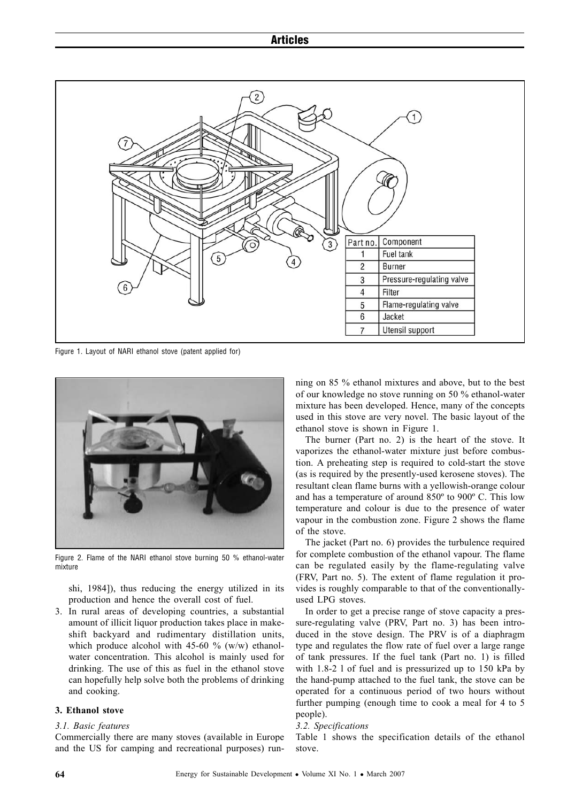

Figure 1. Layout of NARI ethanol stove (patent applied for)



Figure 2. Flame of the NARI ethanol stove burning 50 % ethanol-water mixture

shi, 1984]), thus reducing the energy utilized in its production and hence the overall cost of fuel.

3. In rural areas of developing countries, a substantial amount of illicit liquor production takes place in makeshift backyard and rudimentary distillation units, which produce alcohol with 45-60  $\%$  (w/w) ethanolwater concentration. This alcohol is mainly used for drinking. The use of this as fuel in the ethanol stove can hopefully help solve both the problems of drinking and cooking.

#### **3. Ethanol stove**

#### *3.1. Basic features*

Commercially there are many stoves (available in Europe and the US for camping and recreational purposes) running on 85 % ethanol mixtures and above, but to the best of our knowledge no stove running on 50 % ethanol-water mixture has been developed. Hence, many of the concepts used in this stove are very novel. The basic layout of the ethanol stove is shown in Figure 1.

The burner (Part no. 2) is the heart of the stove. It vaporizes the ethanol-water mixture just before combustion. A preheating step is required to cold-start the stove (as is required by the presently-used kerosene stoves). The resultant clean flame burns with a yellowish-orange colour and has a temperature of around 850º to 900º C. This low temperature and colour is due to the presence of water vapour in the combustion zone. Figure 2 shows the flame of the stove.

The jacket (Part no. 6) provides the turbulence required for complete combustion of the ethanol vapour. The flame can be regulated easily by the flame-regulating valve (FRV, Part no. 5). The extent of flame regulation it provides is roughly comparable to that of the conventionallyused LPG stoves.

In order to get a precise range of stove capacity a pressure-regulating valve (PRV, Part no. 3) has been introduced in the stove design. The PRV is of a diaphragm type and regulates the flow rate of fuel over a large range of tank pressures. If the fuel tank (Part no. 1) is filled with 1.8-2 l of fuel and is pressurized up to 150 kPa by the hand-pump attached to the fuel tank, the stove can be operated for a continuous period of two hours without further pumping (enough time to cook a meal for 4 to 5 people).

# *3.2. Specifications*

Table 1 shows the specification details of the ethanol stove.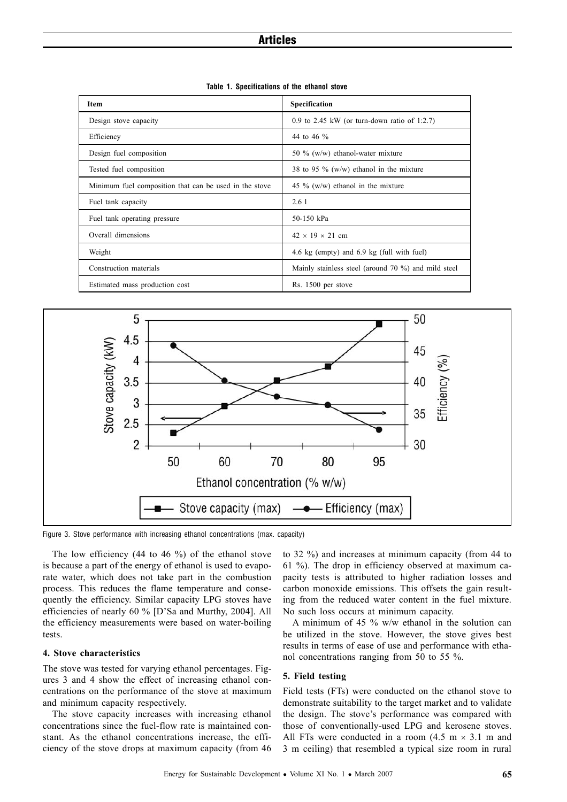| Item                                                   | Specification                                       |  |  |  |
|--------------------------------------------------------|-----------------------------------------------------|--|--|--|
| Design stove capacity                                  | 0.9 to 2.45 kW (or turn-down ratio of 1:2.7)        |  |  |  |
| Efficiency                                             | 44 to 46 %                                          |  |  |  |
| Design fuel composition                                | 50 % (w/w) ethanol-water mixture                    |  |  |  |
| Tested fuel composition                                | 38 to 95 $\%$ (w/w) ethanol in the mixture          |  |  |  |
| Minimum fuel composition that can be used in the stove | 45 % $(w/w)$ ethanol in the mixture                 |  |  |  |
| Fuel tank capacity                                     | 2.61                                                |  |  |  |
| Fuel tank operating pressure                           | 50-150 kPa                                          |  |  |  |
| Overall dimensions                                     | $42 \times 19 \times 21$ cm                         |  |  |  |
| Weight                                                 | 4.6 kg (empty) and 6.9 kg (full with fuel)          |  |  |  |
| Construction materials                                 | Mainly stainless steel (around 70 %) and mild steel |  |  |  |
| Estimated mass production cost                         | Rs. 1500 per stove                                  |  |  |  |

**Table 1. Specifications of the ethanol stove**



Figure 3. Stove performance with increasing ethanol concentrations (max. capacity)

The low efficiency (44 to 46 %) of the ethanol stove is because a part of the energy of ethanol is used to evaporate water, which does not take part in the combustion process. This reduces the flame temperature and consequently the efficiency. Similar capacity LPG stoves have efficiencies of nearly 60 % [D'Sa and Murthy, 2004]. All the efficiency measurements were based on water-boiling tests.

# **4. Stove characteristics**

The stove was tested for varying ethanol percentages. Figures 3 and 4 show the effect of increasing ethanol concentrations on the performance of the stove at maximum and minimum capacity respectively.

The stove capacity increases with increasing ethanol concentrations since the fuel-flow rate is maintained constant. As the ethanol concentrations increase, the efficiency of the stove drops at maximum capacity (from 46 to 32 %) and increases at minimum capacity (from 44 to 61 %). The drop in efficiency observed at maximum capacity tests is attributed to higher radiation losses and carbon monoxide emissions. This offsets the gain resulting from the reduced water content in the fuel mixture. No such loss occurs at minimum capacity.

A minimum of 45 % w/w ethanol in the solution can be utilized in the stove. However, the stove gives best results in terms of ease of use and performance with ethanol concentrations ranging from 50 to 55 %.

# **5. Field testing**

Field tests (FTs) were conducted on the ethanol stove to demonstrate suitability to the target market and to validate the design. The stove's performance was compared with those of conventionally-used LPG and kerosene stoves. All FTs were conducted in a room  $(4.5 \text{ m} \times 3.1 \text{ m} \text{ and }$ 3 m ceiling) that resembled a typical size room in rural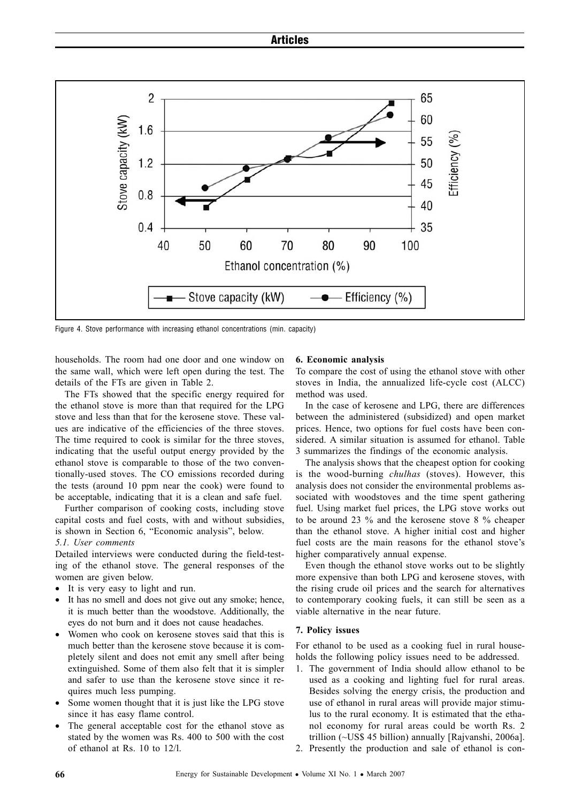

Figure 4. Stove performance with increasing ethanol concentrations (min. capacity)

households. The room had one door and one window on the same wall, which were left open during the test. The details of the FTs are given in Table 2.

The FTs showed that the specific energy required for the ethanol stove is more than that required for the LPG stove and less than that for the kerosene stove. These values are indicative of the efficiencies of the three stoves. The time required to cook is similar for the three stoves, indicating that the useful output energy provided by the ethanol stove is comparable to those of the two conventionally-used stoves. The CO emissions recorded during the tests (around 10 ppm near the cook) were found to be acceptable, indicating that it is a clean and safe fuel.

Further comparison of cooking costs, including stove capital costs and fuel costs, with and without subsidies, is shown in Section 6, "Economic analysis", below.

#### *5.1. User comments*

Detailed interviews were conducted during the field-testing of the ethanol stove. The general responses of the women are given below.

- It is very easy to light and run.
- It has no smell and does not give out any smoke; hence, it is much better than the woodstove. Additionally, the eyes do not burn and it does not cause headaches.
- Women who cook on kerosene stoves said that this is much better than the kerosene stove because it is completely silent and does not emit any smell after being extinguished. Some of them also felt that it is simpler and safer to use than the kerosene stove since it requires much less pumping.
- Some women thought that it is just like the LPG stove since it has easy flame control.
- The general acceptable cost for the ethanol stove as stated by the women was Rs. 400 to 500 with the cost of ethanol at Rs. 10 to 12/l.

#### **6. Economic analysis**

To compare the cost of using the ethanol stove with other stoves in India, the annualized life-cycle cost (ALCC) method was used.

In the case of kerosene and LPG, there are differences between the administered (subsidized) and open market prices. Hence, two options for fuel costs have been considered. A similar situation is assumed for ethanol. Table 3 summarizes the findings of the economic analysis.

The analysis shows that the cheapest option for cooking is the wood-burning *chulhas* (stoves). However, this analysis does not consider the environmental problems associated with woodstoves and the time spent gathering fuel. Using market fuel prices, the LPG stove works out to be around 23 % and the kerosene stove 8 % cheaper than the ethanol stove. A higher initial cost and higher fuel costs are the main reasons for the ethanol stove's higher comparatively annual expense.

Even though the ethanol stove works out to be slightly more expensive than both LPG and kerosene stoves, with the rising crude oil prices and the search for alternatives to contemporary cooking fuels, it can still be seen as a viable alternative in the near future.

#### **7. Policy issues**

For ethanol to be used as a cooking fuel in rural households the following policy issues need to be addressed.

- 1. The government of India should allow ethanol to be used as a cooking and lighting fuel for rural areas. Besides solving the energy crisis, the production and use of ethanol in rural areas will provide major stimulus to the rural economy. It is estimated that the ethanol economy for rural areas could be worth Rs. 2 trillion (~US\$ 45 billion) annually [Rajvanshi, 2006a].
- 2. Presently the production and sale of ethanol is con-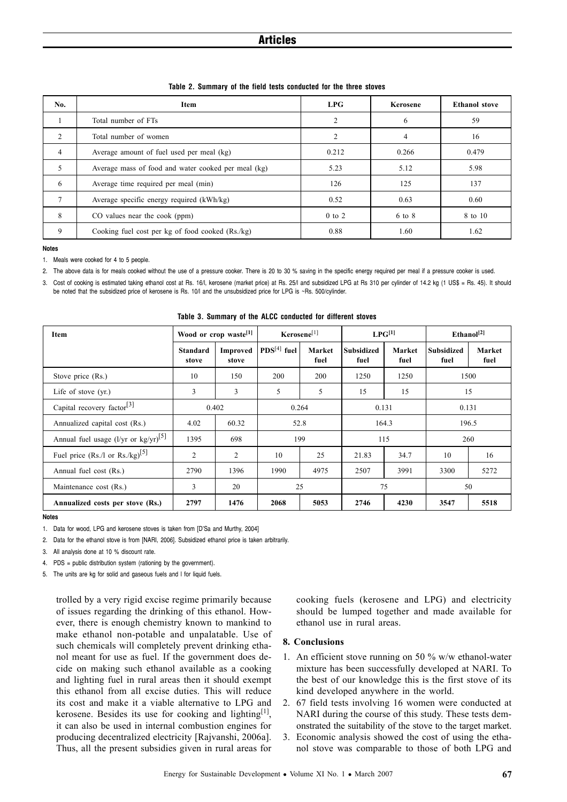| No.           | Item                                                | LPG            | Kerosene | <b>Ethanol stove</b> |  |
|---------------|-----------------------------------------------------|----------------|----------|----------------------|--|
|               | Total number of FTs                                 | $\overline{2}$ | 6        | 59                   |  |
| 2             | Total number of women                               | 2              | 4        | 16                   |  |
| 4             | Average amount of fuel used per meal (kg)           | 0.212          | 0.266    | 0.479                |  |
| 5             | Average mass of food and water cooked per meal (kg) | 5.23           | 5.12     | 5.98                 |  |
| 6             | Average time required per meal (min)                | 126            | 125      | 137                  |  |
| $\mathcal{I}$ | Average specific energy required (kWh/kg)           | 0.52           | 0.63     | 0.60                 |  |
| 8             | CO values near the cook (ppm)                       | $0$ to $2$     | 6 to 8   | 8 to 10              |  |
| 9             | Cooking fuel cost per kg of food cooked (Rs./kg)    | 0.88           | 1.60     | 1.62                 |  |

**Table 2. Summary of the field tests conducted for the three stoves**

**Notes**

1. Meals were cooked for 4 to 5 people.

2. The above data is for meals cooked without the use of a pressure cooker. There is 20 to 30 % saving in the specific energy required per meal if a pressure cooker is used.

Cost of cooking is estimated taking ethanol cost at Rs. 16/l, kerosene (market price) at Rs. 25/l and subsidized LPG at Rs 310 per cylinder of 14.2 kg (1 US\$ = Rs. 45). It should be noted that the subsidized price of kerosene is Rs. 10/l and the unsubsidized price for LPG is ~Rs. 500/cylinder.

| Item                                                       | Wood or crop waste <sup>[1]</sup> |                          | Kerosene[1]   |                | $LPG^{[1]}$               |                | Ethanol <sup>[2]</sup>    |                |
|------------------------------------------------------------|-----------------------------------|--------------------------|---------------|----------------|---------------------------|----------------|---------------------------|----------------|
|                                                            | <b>Standard</b><br>stove          | <b>Improved</b><br>stove | $PDS[4]$ fuel | Market<br>fuel | <b>Subsidized</b><br>fuel | Market<br>fuel | <b>Subsidized</b><br>fuel | Market<br>fuel |
| Stove price (Rs.)                                          | 10                                | 150                      | 200           | <b>200</b>     | 1250                      | 1250           | 1500                      |                |
| Life of stove $(yr)$ .                                     | 3                                 | 3                        | 5             | 5              | 15                        | 15             | 15                        |                |
| Capital recovery factor <sup>[3]</sup>                     |                                   | 0.402                    | 0.264         |                | 0.131                     |                | 0.131                     |                |
| Annualized capital cost (Rs.)                              | 4.02                              | 60.32                    | 52.8          |                | 164.3                     |                | 196.5                     |                |
| Annual fuel usage (l/yr or $\text{kg/yr}$ ) <sup>[5]</sup> | 1395                              | 698                      | 199           |                | 115                       |                | 260                       |                |
| Fuel price (Rs./l or Rs./kg) <sup>[5]</sup>                | $\overline{c}$                    | 2                        | 10            | 25             | 21.83                     | 34.7           | 10                        | 16             |
| Annual fuel cost (Rs.)                                     | 2790                              | 1396                     | 1990          | 4975           | 2507                      | 3991           | 3300                      | 5272           |
| Maintenance cost (Rs.)                                     | 3                                 | 20                       | 25            |                | 75                        |                | 50                        |                |
| Annualized costs per stove (Rs.)                           | 2797                              | 1476                     | 2068          | 5053           | 2746                      | 4230           | 3547                      | 5518           |

**Table 3. Summary of the ALCC conducted for different stoves**

**Notes**

2. Data for the ethanol stove is from [NARI, 2006]. Subsidized ethanol price is taken arbitrarily.

3. All analysis done at 10 % discount rate.

4. PDS = public distribution system (rationing by the government).

5. The units are kg for solid and gaseous fuels and l for liquid fuels.

trolled by a very rigid excise regime primarily because of issues regarding the drinking of this ethanol. However, there is enough chemistry known to mankind to make ethanol non-potable and unpalatable. Use of such chemicals will completely prevent drinking ethanol meant for use as fuel. If the government does decide on making such ethanol available as a cooking and lighting fuel in rural areas then it should exempt this ethanol from all excise duties. This will reduce its cost and make it a viable alternative to LPG and kerosene. Besides its use for cooking and lighting $[1]$ , it can also be used in internal combustion engines for producing decentralized electricity [Rajvanshi, 2006a]. Thus, all the present subsidies given in rural areas for cooking fuels (kerosene and LPG) and electricity should be lumped together and made available for ethanol use in rural areas.

#### **8. Conclusions**

- 1. An efficient stove running on 50 % w/w ethanol-water mixture has been successfully developed at NARI. To the best of our knowledge this is the first stove of its kind developed anywhere in the world.
- 2. 67 field tests involving 16 women were conducted at NARI during the course of this study. These tests demonstrated the suitability of the stove to the target market.
- 3. Economic analysis showed the cost of using the ethanol stove was comparable to those of both LPG and

<sup>1.</sup> Data for wood, LPG and kerosene stoves is taken from [D'Sa and Murthy, 2004]